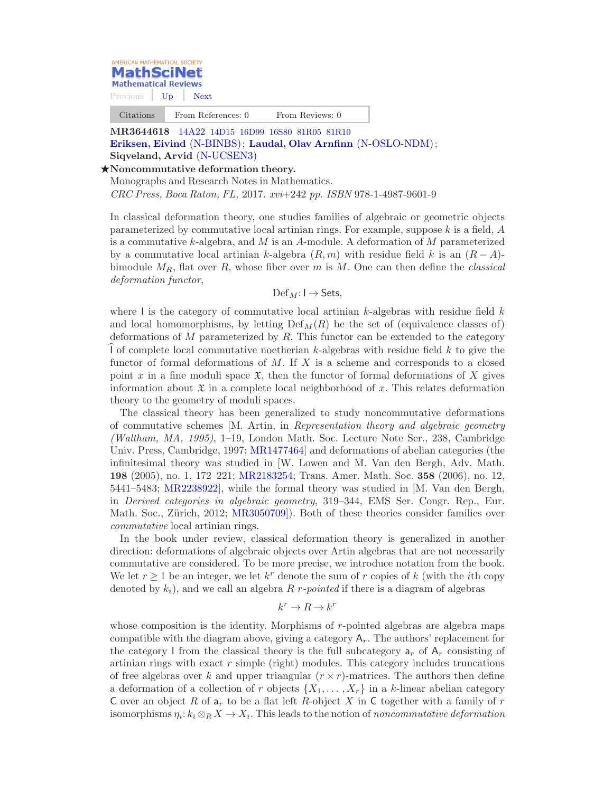

Citations From References: 0 From Reviews: 0

MR3644618 14A22 [14D15 16D99 16S80 81R05 81R10](http://mathscinet.ams.org/mathscinet/search/mscdoc.html?code=14A22%2C%2814D15%2C16D99%2C16S80%2C81R05%2C81R10%29) [Eriksen, Eivind](http://mathscinet.ams.org/mathscinet/search/publications.html?pg1=IID&s1=110700) [\(N-BINBS\)](http://mathscinet.ams.org/mathscinet/search/institution.html?code=N_BINBS); [Laudal, Olav Arnfinn](http://mathscinet.ams.org/mathscinet/search/publications.html?pg1=IID&s1=680069) [\(N-OSLO-NDM\)](http://mathscinet.ams.org/mathscinet/search/institution.html?code=N_OSLO_NDM);

## Siqveland, Arvid [\(N-UCSEN3\)](http://mathscinet.ams.org/mathscinet/search/institution.html?code=N_UCSEN3)  $\star$ Noncommutative deformation theory.

Monographs and Research Notes in Mathematics.

CRC Press, Boca Raton, FL, 2017. xvi+242 pp. ISBN 978-1-4987-9601-9

In classical deformation theory, one studies families of algebraic or geometric objects parameterized by commutative local artinian rings. For example, suppose  $k$  is a field,  $A$ is a commutative k-algebra, and  $M$  is an A-module. A deformation of  $M$  parameterized by a commutative local artinian k-algebra  $(R, m)$  with residue field k is an  $(R - A)$ bimodule  $M_R$ , flat over R, whose fiber over m is M. One can then define the *classical* deformation functor,

 $\mathrm{Def}_{M}: I \to \mathsf{Sets},$ 

where I is the category of commutative local artinian  $k$ -algebras with residue field  $k$ and local homomorphisms, by letting  $Def<sub>M</sub>(R)$  be the set of (equivalence classes of) deformations of  $M$  parameterized by  $R$ . This functor can be extended to the category I of complete local commutative noetherian k-algebras with residue field  $k$  to give the functor of formal deformations of  $M$ . If  $X$  is a scheme and corresponds to a closed point x in a fine moduli space  $\mathfrak{X}$ , then the functor of formal deformations of X gives information about  $\mathfrak X$  in a complete local neighborhood of x. This relates deformation theory to the geometry of moduli spaces.

The classical theory has been generalized to study noncommutative deformations of commutative schemes [M. Artin, in Representation theory and algebraic geometry (Waltham, MA, 1995), 1–19, London Math. Soc. Lecture Note Ser., 238, Cambridge Univ. Press, Cambridge, 1997; [MR1477464\]](http://mathscinet.ams.org/mathscinet/pdf/1477464.pdf) and deformations of abelian categories (the infinitesimal theory was studied in [W. Lowen and M. Van den Bergh, Adv. Math. 198 (2005), no. 1, 172–221; [MR2183254;](http://mathscinet.ams.org/mathscinet/pdf/2183254.pdf) Trans. Amer. Math. Soc. 358 (2006), no. 12, 5441–5483; [MR2238922\]](http://mathscinet.ams.org/mathscinet/pdf/2238922.pdf), while the formal theory was studied in [M. Van den Bergh, in Derived categories in algebraic geometry, 319–344, EMS Ser. Congr. Rep., Eur. Math. Soc., Zürich, 2012; [MR3050709](http://mathscinet.ams.org/mathscinet/pdf/3050709.pdf). Both of these theories consider families over commutative local artinian rings.

In the book under review, classical deformation theory is generalized in another direction: deformations of algebraic objects over Artin algebras that are not necessarily commutative are considered. To be more precise, we introduce notation from the book. We let  $r \geq 1$  be an integer, we let  $k^r$  denote the sum of r copies of k (with the *i*th copy denoted by  $k_i$ ), and we call an algebra R r-pointed if there is a diagram of algebras

## $k^r \to R \to k^r$

whose composition is the identity. Morphisms of r-pointed algebras are algebra maps compatible with the diagram above, giving a category  $A_r$ . The authors' replacement for the category I from the classical theory is the full subcategory  $a_r$  of  $A_r$  consisting of artinian rings with exact  $r$  simple (right) modules. This category includes truncations of free algebras over k and upper triangular  $(r \times r)$ -matrices. The authors then define a deformation of a collection of r objects  $\{X_1, \ldots, X_r\}$  in a k-linear abelian category C over an object R of  $a_r$  to be a flat left R-object X in C together with a family of r isomorphisms  $\eta_i: k_i \otimes_R X \to X_i$ . This leads to the notion of noncommutative deformation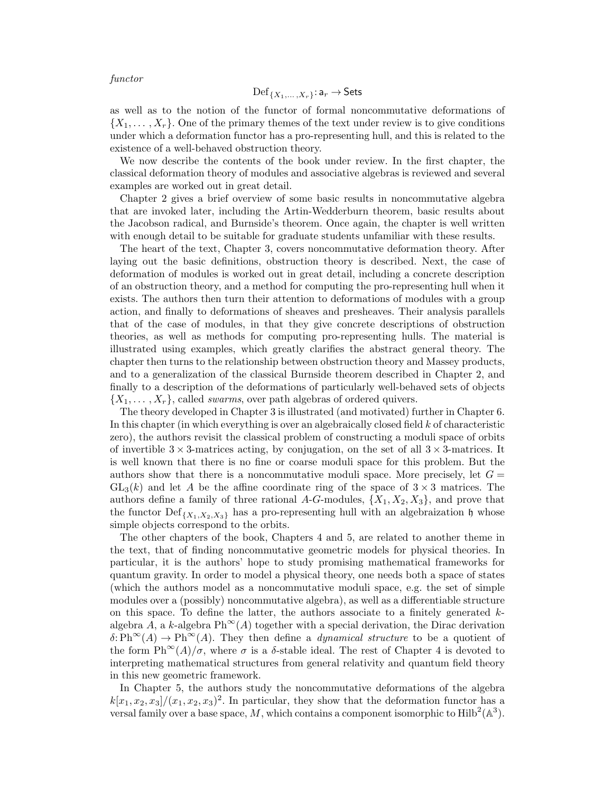functor

$$
\mathrm{Def}_{\{X_1,\ldots,X_r\}}: \mathsf{a}_r \to \mathsf{Sets}
$$

as well as to the notion of the functor of formal noncommutative deformations of  $\{X_1, \ldots, X_r\}$ . One of the primary themes of the text under review is to give conditions under which a deformation functor has a pro-representing hull, and this is related to the existence of a well-behaved obstruction theory.

We now describe the contents of the book under review. In the first chapter, the classical deformation theory of modules and associative algebras is reviewed and several examples are worked out in great detail.

Chapter 2 gives a brief overview of some basic results in noncommutative algebra that are invoked later, including the Artin-Wedderburn theorem, basic results about the Jacobson radical, and Burnside's theorem. Once again, the chapter is well written with enough detail to be suitable for graduate students unfamiliar with these results.

The heart of the text, Chapter 3, covers noncommutative deformation theory. After laying out the basic definitions, obstruction theory is described. Next, the case of deformation of modules is worked out in great detail, including a concrete description of an obstruction theory, and a method for computing the pro-representing hull when it exists. The authors then turn their attention to deformations of modules with a group action, and finally to deformations of sheaves and presheaves. Their analysis parallels that of the case of modules, in that they give concrete descriptions of obstruction theories, as well as methods for computing pro-representing hulls. The material is illustrated using examples, which greatly clarifies the abstract general theory. The chapter then turns to the relationship between obstruction theory and Massey products, and to a generalization of the classical Burnside theorem described in Chapter 2, and finally to a description of the deformations of particularly well-behaved sets of objects  $\{X_1, \ldots, X_r\}$ , called *swarms*, over path algebras of ordered quivers.

The theory developed in Chapter 3 is illustrated (and motivated) further in Chapter 6. In this chapter (in which everything is over an algebraically closed field  $k$  of characteristic zero), the authors revisit the classical problem of constructing a moduli space of orbits of invertible  $3 \times 3$ -matrices acting, by conjugation, on the set of all  $3 \times 3$ -matrices. It is well known that there is no fine or coarse moduli space for this problem. But the authors show that there is a noncommutative moduli space. More precisely, let  $G =$  $GL_3(k)$  and let A be the affine coordinate ring of the space of  $3 \times 3$  matrices. The authors define a family of three rational A-G-modules,  $\{X_1, X_2, X_3\}$ , and prove that the functor  $\text{Def}_{\{X_1, X_2, X_3\}}$  has a pro-representing hull with an algebraization h whose simple objects correspond to the orbits.

The other chapters of the book, Chapters 4 and 5, are related to another theme in the text, that of finding noncommutative geometric models for physical theories. In particular, it is the authors' hope to study promising mathematical frameworks for quantum gravity. In order to model a physical theory, one needs both a space of states (which the authors model as a noncommutative moduli space, e.g. the set of simple modules over a (possibly) noncommutative algebra), as well as a differentiable structure on this space. To define the latter, the authors associate to a finitely generated  $k$ algebra A, a k-algebra  $\text{Ph}^{\infty}(A)$  together with a special derivation, the Dirac derivation  $\delta: Ph^{\infty}(A) \to Ph^{\infty}(A)$ . They then define a *dynamical structure* to be a quotient of the form  $\text{Ph}^{\infty}(A)/\sigma$ , where  $\sigma$  is a  $\delta$ -stable ideal. The rest of Chapter 4 is devoted to interpreting mathematical structures from general relativity and quantum field theory in this new geometric framework.

In Chapter 5, the authors study the noncommutative deformations of the algebra  $k[x_1, x_2, x_3]/(x_1, x_2, x_3)^2$ . In particular, they show that the deformation functor has a versal family over a base space, M, which contains a component isomorphic to  $\text{Hilb}^2(\mathbb{A}^3)$ .